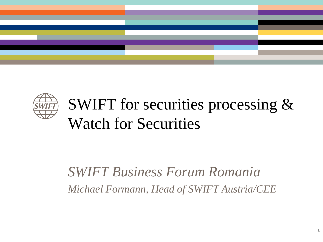



# SWIFT for securities processing & Watch for Securities

### *SWIFT Business Forum Romania Michael Formann, Head of SWIFT Austria/CEE*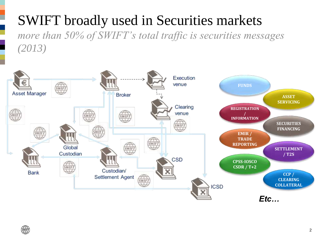### SWIFT broadly used in Securities markets *more than 50% of SWIFT's total traffic is securities messages (2013)*

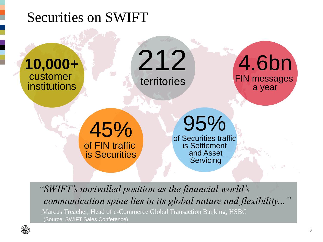



*"SWIFT's unrivalled position as the financial world's communication spine lies in its global nature and flexibility..."* 

Marcus Treacher, Head of e-Commerce Global Transaction Banking, HSBC (Source: SWIFT Sales Conference)

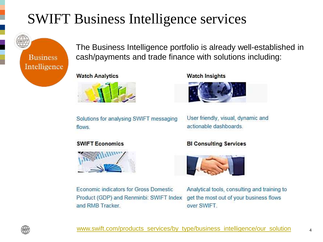### SWIFT Business Intelligence services



The Business Intelligence portfolio is already well-established in cash/payments and trade finance with solutions including:

#### **Watch Analytics**



Solutions for analysing SWIFT messaging flows.

#### **Watch Insights**



User friendly, visual, dynamic and actionable dashboards.

#### **SWIFT Economics**



Economic indicators for Gross Domestic Product (GDP) and Renminbi: SWIFT Index and RMB Tracker.

#### **BI Consulting Services**



Analytical tools, consulting and training to get the most out of your business flows over SWIFT.

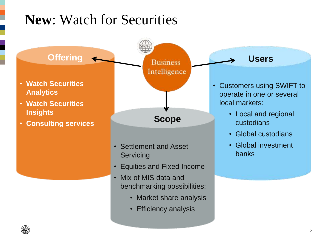### **New**: Watch for Securities

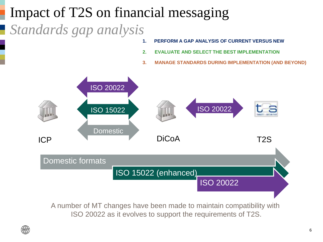## Impact of T2S on financial messaging

*Standards gap analysis*

- **1. PERFORM A GAP ANALYSIS OF CURRENT VERSUS NEW**
- **2. EVALUATE AND SELECT THE BEST IMPLEMENTATION**
- **3. MANAGE STANDARDS DURING IMPLEMENTATION (AND BEYOND)**



A number of MT changes have been made to maintain compatibility with ISO 20022 as it evolves to support the requirements of T2S.

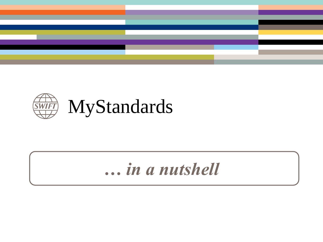



## *… in a nutshell*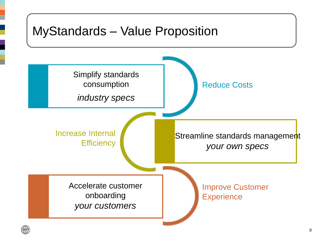